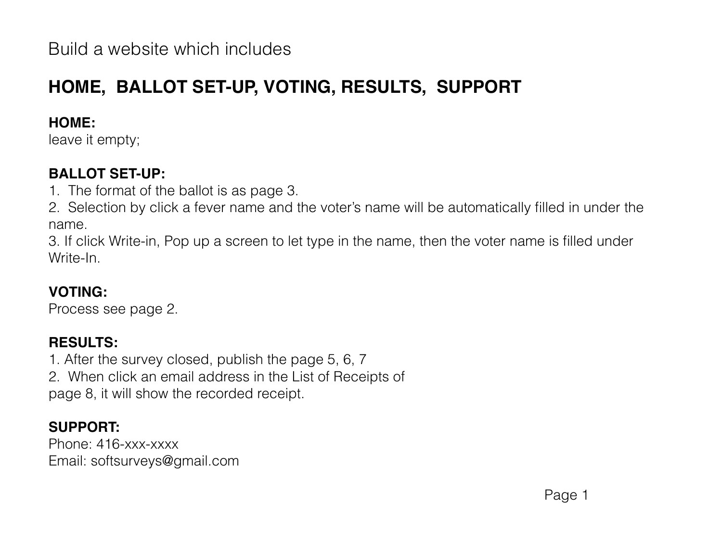Build a website which includes

# **HOME, BALLOT SET-UP, VOTING, RESULTS, SUPPORT**

#### **HOME:**

leave it empty;

#### **BALLOT SET-UP:**

- 1. The format of the ballot is as page 3.
- 2. Selection by click a fever name and the voter's name will be automatically filled in under the name.

3. If click Write-in, Pop up a screen to let type in the name, then the voter name is filled under Write-In.

### **VOTING:**

Process see page 2.

#### **RESULTS:**

1. After the survey closed, publish the page 5, 6, 7 2. When click an email address in the List of Receipts of page 8, it will show the recorded receipt.

#### **SUPPORT:**

Phone: 416-xxx-xxxx Email: softsurveys@gmail.com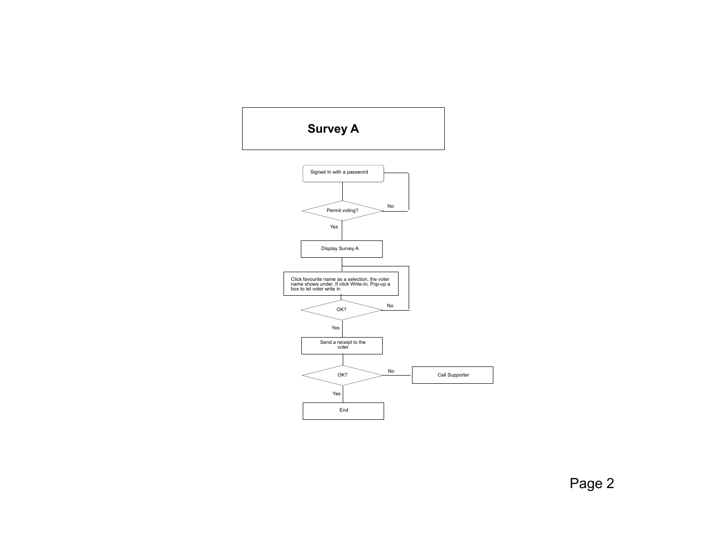

Page 2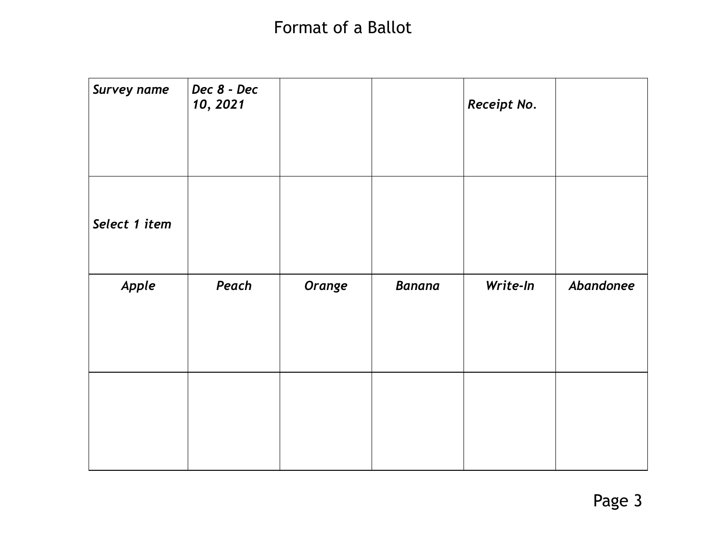## Format of a Ballot

| <b>Survey name</b> | Dec 8 - Dec<br>10, 2021 |        |               | Receipt No. |           |
|--------------------|-------------------------|--------|---------------|-------------|-----------|
| Select 1 item      |                         |        |               |             |           |
| Apple              | Peach                   | Orange | <b>Banana</b> | Write-In    | Abandonee |
|                    |                         |        |               |             |           |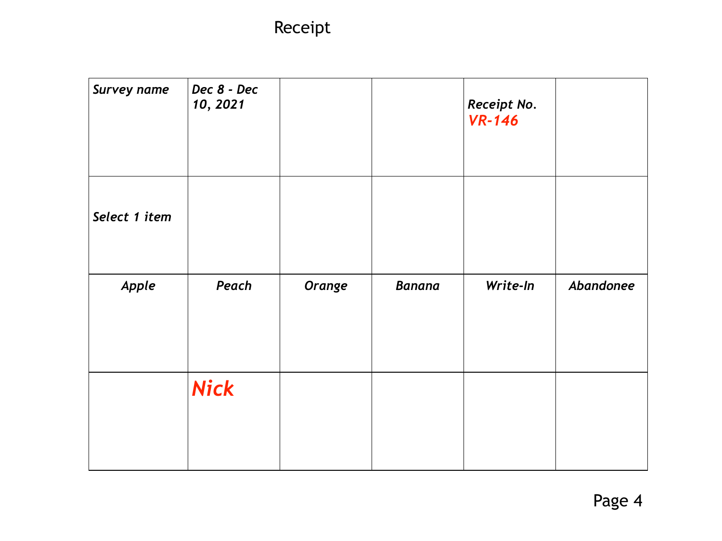Receipt

| <b>Survey name</b> | Dec 8 - Dec<br>10, 2021 |        |               | Receipt No.<br><b>VR-146</b> |           |
|--------------------|-------------------------|--------|---------------|------------------------------|-----------|
| Select 1 item      |                         |        |               |                              |           |
| Apple              | Peach                   | Orange | <b>Banana</b> | Write-In                     | Abandonee |
|                    | <b>Nick</b>             |        |               |                              |           |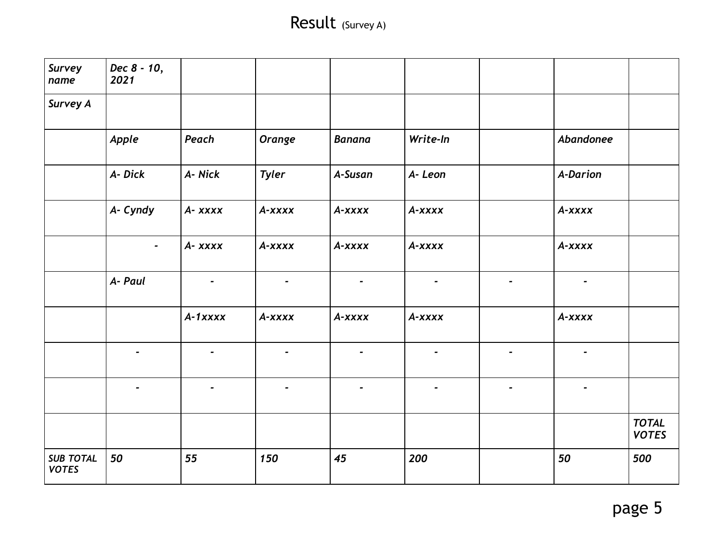## Result (Survey A)

| Survey<br>name                   | Dec 8 - 10,<br>2021 |                |                |                |                          |                |                 |                              |
|----------------------------------|---------------------|----------------|----------------|----------------|--------------------------|----------------|-----------------|------------------------------|
| <b>Survey A</b>                  |                     |                |                |                |                          |                |                 |                              |
|                                  | Apple               | Peach          | <b>Orange</b>  | Banana         | Write-In                 |                | Abandonee       |                              |
|                                  | A- Dick             | A- Nick        | <b>Tyler</b>   | A-Susan        | A-Leon                   |                | <b>A-Darion</b> |                              |
|                                  | A- Cyndy            | $A - XXXX$     | A-xxxx         | A-xxxx         | A-xxxx                   |                | A-xxxx          |                              |
|                                  | $\blacksquare$      | $A - XXXX$     | $A - XXXX$     | A-xxxx         | A-xxxx                   |                | A-xxxx          |                              |
|                                  | A- Paul             | $\blacksquare$ | $\blacksquare$ | $\blacksquare$ | $\overline{\phantom{a}}$ | $\blacksquare$ | $\blacksquare$  |                              |
|                                  |                     | $A-1$ xxxx     | A-xxxx         | A-xxxx         | A-xxxx                   |                | A-xxxx          |                              |
|                                  |                     | $\blacksquare$ | $\blacksquare$ | $\blacksquare$ | $\blacksquare$           | $\blacksquare$ | $\blacksquare$  |                              |
|                                  |                     |                |                |                |                          |                |                 |                              |
|                                  |                     |                |                |                |                          |                |                 | <b>TOTAL</b><br><b>VOTES</b> |
| <b>SUB TOTAL</b><br><b>VOTES</b> | 50                  | 55             | 150            | 45             | 200                      |                | 50              | 500                          |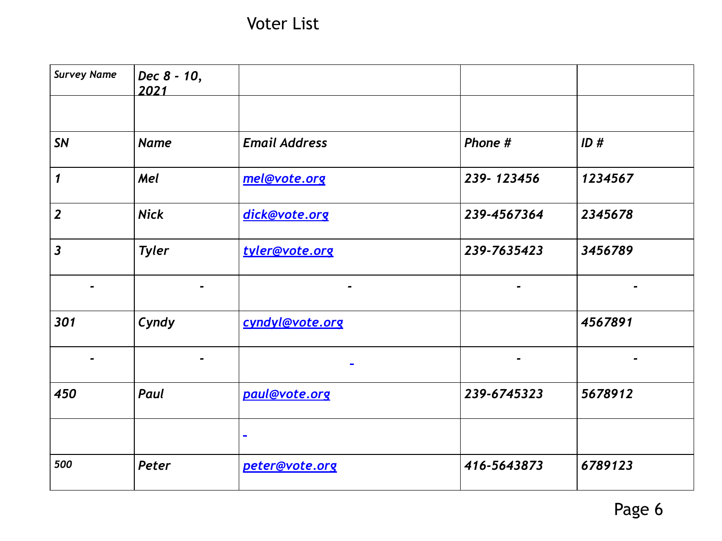Voter List

| <b>Survey Name</b>      | Dec 8 - 10,<br>2021 |                      |             |         |
|-------------------------|---------------------|----------------------|-------------|---------|
|                         |                     |                      |             |         |
| <b>SN</b>               | <b>Name</b>         | <b>Email Address</b> | Phone #     | ID#     |
| 1                       | Mel                 | mel@vote.org         | 239-123456  | 1234567 |
| $\overline{2}$          | <b>Nick</b>         | dick@vote.org        | 239-4567364 | 2345678 |
| $\overline{\mathbf{3}}$ | <b>Tyler</b>        | tyler@vote.org       | 239-7635423 | 3456789 |
|                         |                     | -                    | -           |         |
| 301                     | Cyndy               | cyndyl@vote.org      |             | 4567891 |
|                         |                     |                      | -           |         |
| 450                     | Paul                | paul@vote.org        | 239-6745323 | 5678912 |
|                         |                     | $\sim$               |             |         |
| 500                     | Peter               | peter@vote.org       | 416-5643873 | 6789123 |